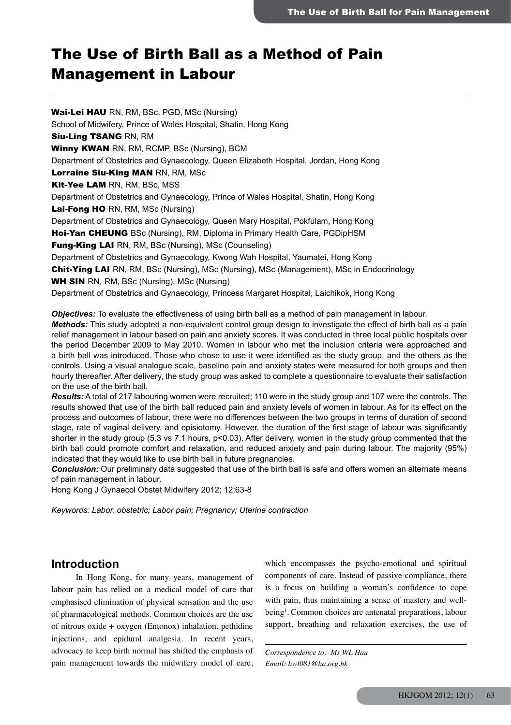# The Use of Birth Ball as a Method of Pain Management in Labour

Wai-Lei HAU RN, RM, BSc, PGD, MSc (Nursing) School of Midwifery, Prince of Wales Hospital, Shatin, Hong Kong Siu-Ling TSANG RN, RM Winny KWAN RN, RM, RCMP, BSc (Nursing), BCM Department of Obstetrics and Gynaecology, Queen Elizabeth Hospital, Jordan, Hong Kong Lorraine Siu-King MAN RN, RM, MSc Kit-Yee LAM RN, RM, BSc, MSS Department of Obstetrics and Gynaecology, Prince of Wales Hospital, Shatin, Hong Kong Lai-Fong HO RN, RM, MSc (Nursing) Department of Obstetrics and Gynaecology, Queen Mary Hospital, Pokfulam, Hong Kong Hoi-Yan CHEUNG BSc (Nursing), RM, Diploma in Primary Health Care, PGDipHSM Fung-King LAI RN, RM, BSc (Nursing), MSc (Counseling) Department of Obstetrics and Gynaecology, Kwong Wah Hospital, Yaumatei, Hong Kong Chit-Ying LAI RN, RM, BSc (Nursing), MSc (Nursing), MSc (Management), MSc in Endocrinology WH SIN RN, RM, BSc (Nursing), MSc (Nursing) Department of Obstetrics and Gynaecology, Princess Margaret Hospital, Laichikok, Hong Kong *Objectives:* To evaluate the effectiveness of using birth ball as a method of pain management in labour.

*Methods:* This study adopted a non-equivalent control group design to investigate the effect of birth ball as a pain relief management in labour based on pain and anxiety scores. It was conducted in three local public hospitals over the period December 2009 to May 2010. Women in labour who met the inclusion criteria were approached and a birth ball was introduced. Those who chose to use it were identified as the study group, and the others as the controls. Using a visual analogue scale, baseline pain and anxiety states were measured for both groups and then hourly thereafter. After delivery, the study group was asked to complete a questionnaire to evaluate their satisfaction on the use of the birth ball.

*Results:* A total of 217 labouring women were recruited; 110 were in the study group and 107 were the controls. The results showed that use of the birth ball reduced pain and anxiety levels of women in labour. As for its effect on the process and outcomes of labour, there were no differences between the two groups in terms of duration of second stage, rate of vaginal delivery, and episiotomy. However, the duration of the first stage of labour was significantly shorter in the study group (5.3 vs 7.1 hours, p<0.03). After delivery, women in the study group commented that the birth ball could promote comfort and relaxation, and reduced anxiety and pain during labour. The majority (95%) indicated that they would like to use birth ball in future pregnancies.

*Conclusion:* Our preliminary data suggested that use of the birth ball is safe and offers women an alternate means of pain management in labour.

Hong Kong J Gynaecol Obstet Midwifery 2012; 12:63-8

*Keywords: Labor, obstetric; Labor pain; Pregnancy; Uterine contraction*

# **Introduction**

In Hong Kong, for many years, management of labour pain has relied on a medical model of care that emphasised elimination of physical sensation and the use of pharmacological methods. Common choices are the use of nitrous oxide + oxygen (Entonox) inhalation, pethidine injections, and epidural analgesia. In recent years, advocacy to keep birth normal has shifted the emphasis of pain management towards the midwifery model of care,

which encompasses the psycho-emotional and spiritual components of care. Instead of passive compliance, there is a focus on building a woman's confidence to cope with pain, thus maintaining a sense of mastery and wellbeing<sup>1</sup>. Common choices are antenatal preparations, labour support, breathing and relaxation exercises, the use of

*Correspondence to: Ms WL Hau Email: hwl081@ha.org.hk*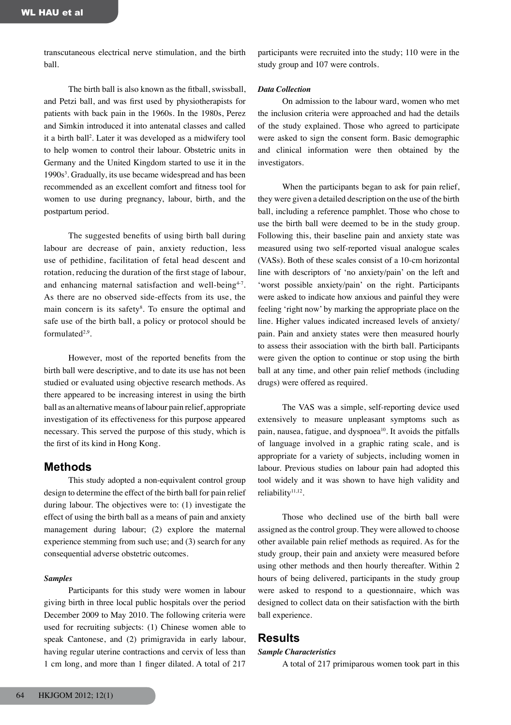transcutaneous electrical nerve stimulation, and the birth ball.

The birth ball is also known as the fitball, swissball, and Petzi ball, and was first used by physiotherapists for patients with back pain in the 1960s. In the 1980s, Perez and Simkin introduced it into antenatal classes and called it a birth ball2 . Later it was developed as a midwifery tool to help women to control their labour. Obstetric units in Germany and the United Kingdom started to use it in the 1990s<sup>3</sup>. Gradually, its use became widespread and has been recommended as an excellent comfort and fitness tool for women to use during pregnancy, labour, birth, and the postpartum period.

The suggested benefits of using birth ball during labour are decrease of pain, anxiety reduction, less use of pethidine, facilitation of fetal head descent and rotation, reducing the duration of the first stage of labour, and enhancing maternal satisfaction and well-being<sup> $4-7$ </sup>. As there are no observed side-effects from its use, the main concern is its safety<sup>8</sup>. To ensure the optimal and safe use of the birth ball, a policy or protocol should be formulated $2,9$ .

However, most of the reported benefits from the birth ball were descriptive, and to date its use has not been studied or evaluated using objective research methods. As there appeared to be increasing interest in using the birth ball as an alternative means of labour pain relief, appropriate investigation of its effectiveness for this purpose appeared necessary. This served the purpose of this study, which is the first of its kind in Hong Kong.

# **Methods**

This study adopted a non-equivalent control group design to determine the effect of the birth ball for pain relief during labour. The objectives were to: (1) investigate the effect of using the birth ball as a means of pain and anxiety management during labour; (2) explore the maternal experience stemming from such use; and (3) search for any consequential adverse obstetric outcomes.

### *Samples*

Participants for this study were women in labour giving birth in three local public hospitals over the period December 2009 to May 2010. The following criteria were used for recruiting subjects: (1) Chinese women able to speak Cantonese, and (2) primigravida in early labour, having regular uterine contractions and cervix of less than 1 cm long, and more than 1 finger dilated. A total of 217

participants were recruited into the study; 110 were in the study group and 107 were controls.

### *Data Collection*

On admission to the labour ward, women who met the inclusion criteria were approached and had the details of the study explained. Those who agreed to participate were asked to sign the consent form. Basic demographic and clinical information were then obtained by the investigators.

When the participants began to ask for pain relief, they were given a detailed description on the use of the birth ball, including a reference pamphlet. Those who chose to use the birth ball were deemed to be in the study group. Following this, their baseline pain and anxiety state was measured using two self-reported visual analogue scales (VASs). Both of these scales consist of a 10-cm horizontal line with descriptors of 'no anxiety/pain' on the left and 'worst possible anxiety/pain' on the right. Participants were asked to indicate how anxious and painful they were feeling 'right now' by marking the appropriate place on the line. Higher values indicated increased levels of anxiety/ pain. Pain and anxiety states were then measured hourly to assess their association with the birth ball. Participants were given the option to continue or stop using the birth ball at any time, and other pain relief methods (including drugs) were offered as required.

The VAS was a simple, self-reporting device used extensively to measure unpleasant symptoms such as pain, nausea, fatigue, and dyspnoea<sup>10</sup>. It avoids the pitfalls of language involved in a graphic rating scale, and is appropriate for a variety of subjects, including women in labour. Previous studies on labour pain had adopted this tool widely and it was shown to have high validity and reliability<sup>11,12</sup>.

Those who declined use of the birth ball were assigned as the control group. They were allowed to choose other available pain relief methods as required. As for the study group, their pain and anxiety were measured before using other methods and then hourly thereafter. Within 2 hours of being delivered, participants in the study group were asked to respond to a questionnaire, which was designed to collect data on their satisfaction with the birth ball experience.

# **Results**

### *Sample Characteristics*

A total of 217 primiparous women took part in this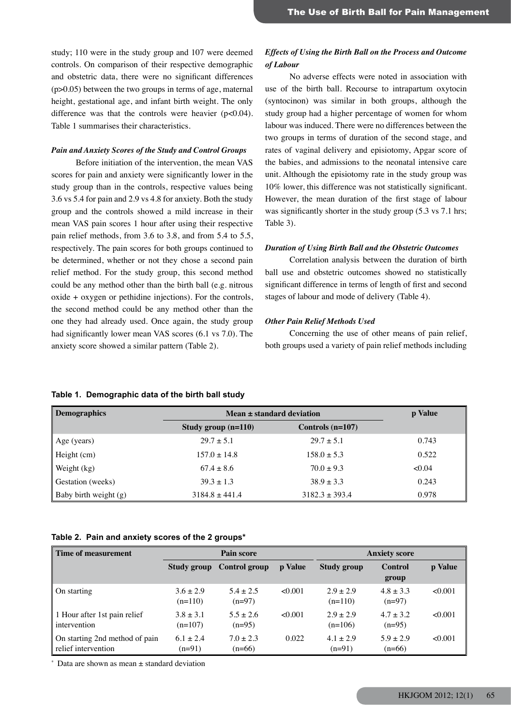study; 110 were in the study group and 107 were deemed controls. On comparison of their respective demographic and obstetric data, there were no significant differences (p>0.05) between the two groups in terms of age, maternal height, gestational age, and infant birth weight. The only difference was that the controls were heavier  $(p<0.04)$ . Table 1 summarises their characteristics.

### *Pain and Anxiety Scores of the Study and Control Groups*

Before initiation of the intervention, the mean VAS scores for pain and anxiety were significantly lower in the study group than in the controls, respective values being 3.6 vs 5.4 for pain and 2.9 vs 4.8 for anxiety. Both the study group and the controls showed a mild increase in their mean VAS pain scores 1 hour after using their respective pain relief methods, from 3.6 to 3.8, and from 5.4 to 5.5, respectively. The pain scores for both groups continued to be determined, whether or not they chose a second pain relief method. For the study group, this second method could be any method other than the birth ball (e.g. nitrous oxide + oxygen or pethidine injections). For the controls, the second method could be any method other than the one they had already used. Once again, the study group had significantly lower mean VAS scores (6.1 vs 7.0). The anxiety score showed a similar pattern (Table 2).

# *Effects of Using the Birth Ball on the Process and Outcome of Labour*

No adverse effects were noted in association with use of the birth ball. Recourse to intrapartum oxytocin (syntocinon) was similar in both groups, although the study group had a higher percentage of women for whom labour was induced. There were no differences between the two groups in terms of duration of the second stage, and rates of vaginal delivery and episiotomy, Apgar score of the babies, and admissions to the neonatal intensive care unit. Although the episiotomy rate in the study group was 10% lower, this difference was not statistically significant. However, the mean duration of the first stage of labour was significantly shorter in the study group (5.3 vs 7.1 hrs; Table 3).

#### *Duration of Using Birth Ball and the Obstetric Outcomes*

Correlation analysis between the duration of birth ball use and obstetric outcomes showed no statistically significant difference in terms of length of first and second stages of labour and mode of delivery (Table 4).

### *Other Pain Relief Methods Used*

Concerning the use of other means of pain relief, both groups used a variety of pain relief methods including

# **Demographics Mean ± standard deviation p Value Study group (n=110) Controls (n=107)** Age (years) 29.7  $\pm$  5.1 29.7  $\pm$  5.1 0.743 Height (cm)  $157.0 \pm 14.8$  158.0  $\pm 5.3$  0.522 Weight (kg) 67.4 ± 8.6 70.0 ± 9.3 <0.04  $\leq 0.04$ Gestation (weeks)  $39.3 \pm 1.3$   $38.9 \pm 3.3$  0.243 Baby birth weight (g)  $3184.8 \pm 441.4$   $3182.3 \pm 393.4$  0.978

#### **Table 1. Demographic data of the birth ball study**

# **Table 2. Pain and anxiety scores of the 2 groups\***

| <b>Time of measurement</b>                            | <b>Pain score</b>          |                           | <b>Anxiety score</b> |                            |                           |         |
|-------------------------------------------------------|----------------------------|---------------------------|----------------------|----------------------------|---------------------------|---------|
|                                                       | Study group                | Control group             | p Value              | <b>Study group</b>         | Control<br>group          | p Value |
| On starting                                           | $3.6 \pm 2.9$<br>$(n=110)$ | $5.4 \pm 2.5$<br>$(n=97)$ | < 0.001              | $2.9 \pm 2.9$<br>$(n=110)$ | $4.8 \pm 3.3$<br>$(n=97)$ | < 0.001 |
| 1 Hour after 1st pain relief<br>intervention          | $3.8 \pm 3.1$<br>$(n=107)$ | $5.5 \pm 2.6$<br>$(n=95)$ | < 0.001              | $2.9 \pm 2.9$<br>$(n=106)$ | $4.7 \pm 3.2$<br>$(n=95)$ | < 0.001 |
| On starting 2nd method of pain<br>relief intervention | $6.1 \pm 2.4$<br>$(n=91)$  | $7.0 \pm 2.3$<br>$(n=66)$ | 0.022                | $4.1 \pm 2.9$<br>$(n=91)$  | $5.9 \pm 2.9$<br>$(n=66)$ | < 0.001 |

Data are shown as mean  $\pm$  standard deviation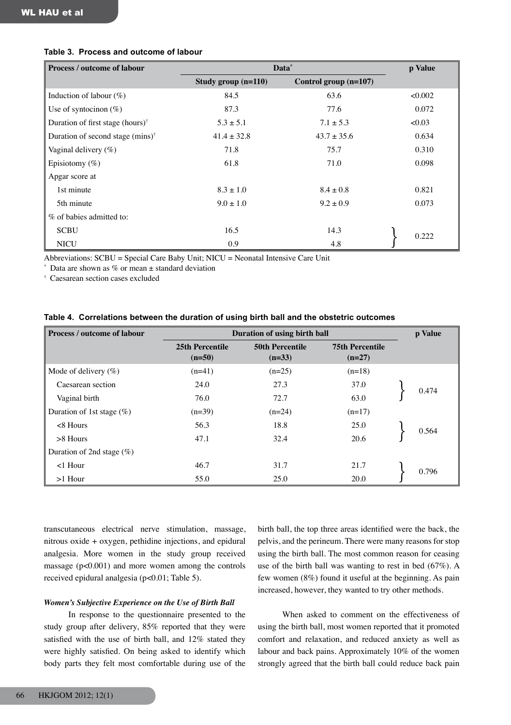| Process / outcome of labour                  | Data*                 | p Value               |        |
|----------------------------------------------|-----------------------|-----------------------|--------|
|                                              | Study group $(n=110)$ | Control group (n=107) |        |
| Induction of labour $(\%)$                   | 84.5                  | 63.6                  | <0.002 |
| Use of syntocinon $(\%)$                     | 87.3                  | 77.6                  | 0.072  |
| Duration of first stage (hours) <sup>†</sup> | $5.3 \pm 5.1$         | $7.1 \pm 5.3$         | <0.03  |
| Duration of second stage (mins) <sup>†</sup> | $41.4 \pm 32.8$       | $43.7 \pm 35.6$       | 0.634  |
| Vaginal delivery $(\%)$                      | 71.8                  | 75.7                  | 0.310  |
| Episiotomy $(\%)$                            | 61.8                  | 71.0                  | 0.098  |
| Apgar score at                               |                       |                       |        |
| 1st minute                                   | $8.3 \pm 1.0$         | $8.4 \pm 0.8$         | 0.821  |
| 5th minute                                   | $9.0 \pm 1.0$         | $9.2 \pm 0.9$         | 0.073  |
| % of babies admitted to:                     |                       |                       |        |
| <b>SCBU</b>                                  | 16.5                  | 14.3                  | 0.222  |
| <b>NICU</b>                                  | 0.9                   | 4.8                   |        |

## **Table 3. Process and outcome of labour**

Abbreviations: SCBU = Special Care Baby Unit; NICU = Neonatal Intensive Care Unit

Data are shown as % or mean  $\pm$  standard deviation

† Caesarean section cases excluded

|  | Table 4. Correlations between the duration of using birth ball and the obstetric outcomes |  |  |  |  |
|--|-------------------------------------------------------------------------------------------|--|--|--|--|
|--|-------------------------------------------------------------------------------------------|--|--|--|--|

| <b>Process / outcome of labour</b> | Duration of using birth ball |                                    |                                    |  | p Value |
|------------------------------------|------------------------------|------------------------------------|------------------------------------|--|---------|
|                                    | 25th Percentile<br>$(n=50)$  | <b>50th Percentile</b><br>$(n=33)$ | <b>75th Percentile</b><br>$(n=27)$ |  |         |
| Mode of delivery $(\%)$            | $(n=41)$                     | $(n=25)$                           | $(n=18)$                           |  |         |
| Caesarean section                  | 24.0                         | 27.3                               | 37.0                               |  | 0.474   |
| Vaginal birth                      | 76.0                         | 72.7                               | 63.0                               |  |         |
| Duration of 1st stage $(\%)$       | $(n=39)$                     | $(n=24)$                           | $(n=17)$                           |  |         |
| $< 8$ Hours                        | 56.3                         | 18.8                               | 25.0                               |  | 0.564   |
| $>8$ Hours                         | 47.1                         | 32.4                               | 20.6                               |  |         |
| Duration of 2nd stage $(\%)$       |                              |                                    |                                    |  |         |
| $<$ 1 Hour                         | 46.7                         | 31.7                               | 21.7                               |  | 0.796   |
| $>1$ Hour                          | 55.0                         | 25.0                               | 20.0                               |  |         |

transcutaneous electrical nerve stimulation, massage, nitrous oxide + oxygen, pethidine injections, and epidural analgesia. More women in the study group received massage (p<0.001) and more women among the controls received epidural analgesia (p<0.01; Table 5).

### *Women's Subjective Experience on the Use of Birth Ball*

In response to the questionnaire presented to the study group after delivery, 85% reported that they were satisfied with the use of birth ball, and 12% stated they were highly satisfied. On being asked to identify which body parts they felt most comfortable during use of the birth ball, the top three areas identified were the back, the pelvis, and the perineum. There were many reasons for stop using the birth ball. The most common reason for ceasing use of the birth ball was wanting to rest in bed (67%). A few women (8%) found it useful at the beginning. As pain increased, however, they wanted to try other methods.

When asked to comment on the effectiveness of using the birth ball, most women reported that it promoted comfort and relaxation, and reduced anxiety as well as labour and back pains. Approximately 10% of the women strongly agreed that the birth ball could reduce back pain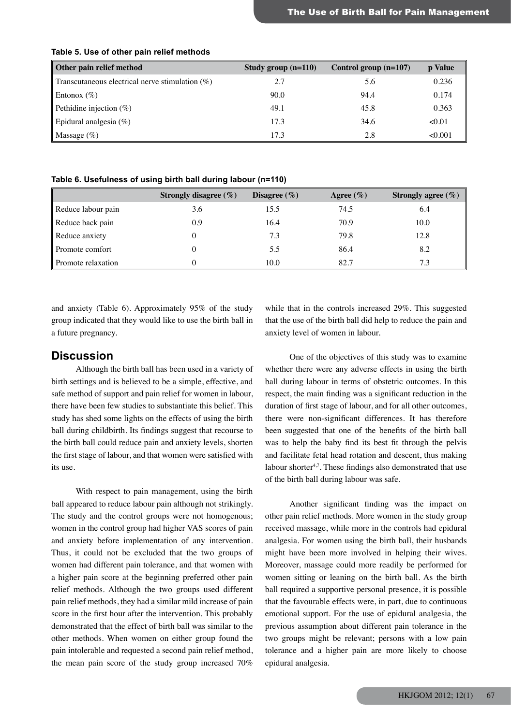| Other pain relief method                           | Study group $(n=110)$ | Control group $(n=107)$ | <b>p</b> Value |
|----------------------------------------------------|-----------------------|-------------------------|----------------|
| Transcutaneous electrical nerve stimulation $(\%)$ | 2.7                   | 5.6                     | 0.236          |
| Entonox $(\% )$                                    | 90.0                  | 94.4                    | 0.174          |
| Pethidine injection $(\%)$                         | 49.1                  | 45.8                    | 0.363          |
| Epidural analgesia $(\%)$                          | 17.3                  | 34.6                    | < 0.01         |
| Massage $(\%)$                                     | 17.3                  | 2.8                     | < 0.001        |

### **Table 5. Use of other pain relief methods**

**Table 6. Usefulness of using birth ball during labour (n=110)**

|                    | Strongly disagree $(\% )$ | Disagree $(\% )$ | Agree $(\% )$ | Strongly agree $(\% )$ |
|--------------------|---------------------------|------------------|---------------|------------------------|
| Reduce labour pain | 3.6                       | 15.5             | 74.5          | 6.4                    |
| Reduce back pain   | 0.9                       | 16.4             | 70.9          | 10.0                   |
| Reduce anxiety     |                           | 7.3              | 79.8          | 12.8                   |
| Promote comfort    |                           | 5.5              | 86.4          | 8.2                    |
| Promote relaxation |                           | 10.0             | 82.7          | 7.3                    |

and anxiety (Table 6). Approximately 95% of the study group indicated that they would like to use the birth ball in a future pregnancy.

# **Discussion**

Although the birth ball has been used in a variety of birth settings and is believed to be a simple, effective, and safe method of support and pain relief for women in labour, there have been few studies to substantiate this belief. This study has shed some lights on the effects of using the birth ball during childbirth. Its findings suggest that recourse to the birth ball could reduce pain and anxiety levels, shorten the first stage of labour, and that women were satisfied with its use.

With respect to pain management, using the birth ball appeared to reduce labour pain although not strikingly. The study and the control groups were not homogenous; women in the control group had higher VAS scores of pain and anxiety before implementation of any intervention. Thus, it could not be excluded that the two groups of women had different pain tolerance, and that women with a higher pain score at the beginning preferred other pain relief methods. Although the two groups used different pain relief methods, they had a similar mild increase of pain score in the first hour after the intervention. This probably demonstrated that the effect of birth ball was similar to the other methods. When women on either group found the pain intolerable and requested a second pain relief method, the mean pain score of the study group increased 70% while that in the controls increased 29%. This suggested that the use of the birth ball did help to reduce the pain and anxiety level of women in labour.

One of the objectives of this study was to examine whether there were any adverse effects in using the birth ball during labour in terms of obstetric outcomes. In this respect, the main finding was a significant reduction in the duration of first stage of labour, and for all other outcomes, there were non-significant differences. It has therefore been suggested that one of the benefits of the birth ball was to help the baby find its best fit through the pelvis and facilitate fetal head rotation and descent, thus making labour shorter<sup>4,7</sup>. These findings also demonstrated that use of the birth ball during labour was safe.

Another significant finding was the impact on other pain relief methods. More women in the study group received massage, while more in the controls had epidural analgesia. For women using the birth ball, their husbands might have been more involved in helping their wives. Moreover, massage could more readily be performed for women sitting or leaning on the birth ball. As the birth ball required a supportive personal presence, it is possible that the favourable effects were, in part, due to continuous emotional support. For the use of epidural analgesia, the previous assumption about different pain tolerance in the two groups might be relevant; persons with a low pain tolerance and a higher pain are more likely to choose epidural analgesia.